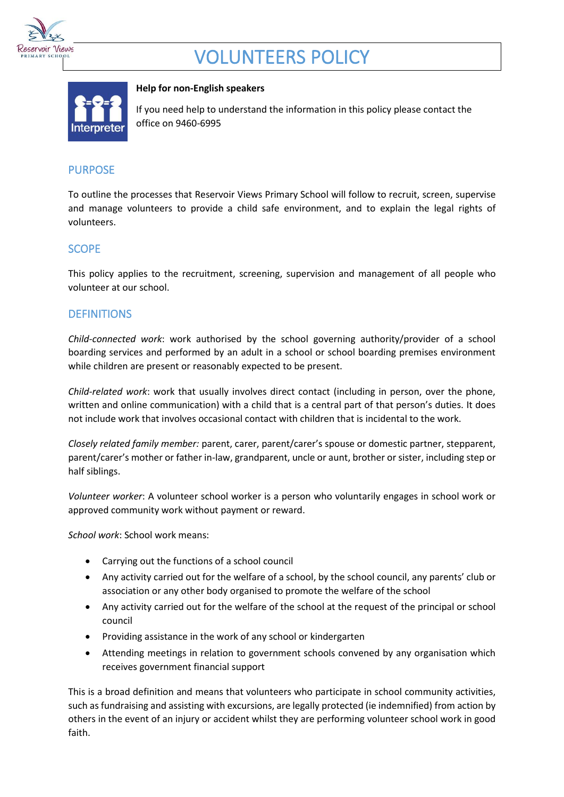

# VOLUNTEERS POLICY



#### **Help for non-English speakers**

If you need help to understand the information in this policy please contact the office on 9460-6995

# PURPOSE

To outline the processes that Reservoir Views Primary School will follow to recruit, screen, supervise and manage volunteers to provide a child safe environment, and to explain the legal rights of volunteers.

# SCOPE

This policy applies to the recruitment, screening, supervision and management of all people who volunteer at our school.

# **DEFINITIONS**

*Child-connected work*: work authorised by the school governing authority/provider of a school boarding services and performed by an adult in a school or school boarding premises environment while children are present or reasonably expected to be present.

*Child-related work*: work that usually involves direct contact (including in person, over the phone, written and online communication) with a child that is a central part of that person's duties. It does not include work that involves occasional contact with children that is incidental to the work.

*Closely related family member:* parent, carer, parent/carer's spouse or domestic partner, stepparent, parent/carer's mother or father in-law, grandparent, uncle or aunt, brother or sister, including step or half siblings.

*Volunteer worker*: A volunteer school worker is a person who voluntarily engages in school work or approved community work without payment or reward.

*School work*: School work means:

- Carrying out the functions of a school council
- Any activity carried out for the welfare of a school, by the school council, any parents' club or association or any other body organised to promote the welfare of the school
- Any activity carried out for the welfare of the school at the request of the principal or school council
- Providing assistance in the work of any school or kindergarten
- Attending meetings in relation to government schools convened by any organisation which receives government financial support

This is a broad definition and means that volunteers who participate in school community activities, such as fundraising and assisting with excursions, are legally protected (ie indemnified) from action by others in the event of an injury or accident whilst they are performing volunteer school work in good faith.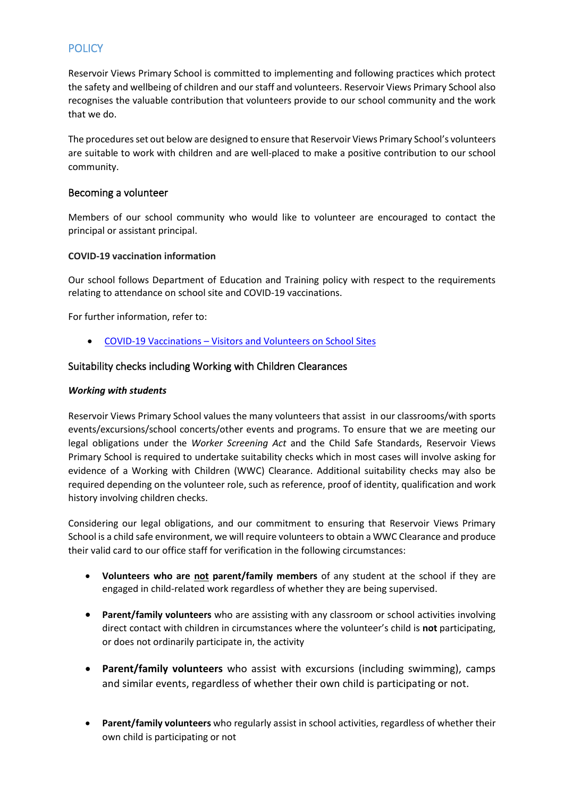# **POLICY**

Reservoir Views Primary School is committed to implementing and following practices which protect the safety and wellbeing of children and our staff and volunteers. Reservoir Views Primary School also recognises the valuable contribution that volunteers provide to our school community and the work that we do.

The procedures set out below are designed to ensure that Reservoir Views Primary School's volunteers are suitable to work with children and are well-placed to make a positive contribution to our school community.

### Becoming a volunteer

Members of our school community who would like to volunteer are encouraged to contact the principal or assistant principal.

### **COVID-19 vaccination information**

Our school follows Department of Education and Training policy with respect to the requirements relating to attendance on school site and COVID-19 vaccinations.

For further information, refer to:

• COVID-19 Vaccinations – [Visitors and Volunteers on School Sites](https://www2.education.vic.gov.au/pal/covid-19-vaccinations-visitors-volunteers/policy)

### Suitability checks including Working with Children Clearances

#### *Working with students*

Reservoir Views Primary School values the many volunteers that assist in our classrooms/with sports events/excursions/school concerts/other events and programs. To ensure that we are meeting our legal obligations under the *Worker Screening Act* and the Child Safe Standards, Reservoir Views Primary School is required to undertake suitability checks which in most cases will involve asking for evidence of a Working with Children (WWC) Clearance. Additional suitability checks may also be required depending on the volunteer role, such as reference, proof of identity, qualification and work history involving children checks.

Considering our legal obligations, and our commitment to ensuring that Reservoir Views Primary School is a child safe environment, we will require volunteers to obtain a WWC Clearance and produce their valid card to our office staff for verification in the following circumstances:

- **Volunteers who are not parent/family members** of any student at the school if they are engaged in child-related work regardless of whether they are being supervised.
- **Parent/family volunteers** who are assisting with any classroom or school activities involving direct contact with children in circumstances where the volunteer's child is **not** participating, or does not ordinarily participate in, the activity
- **Parent/family volunteers** who assist with excursions (including swimming), camps and similar events, regardless of whether their own child is participating or not.
- **Parent/family volunteers** who regularly assist in school activities, regardless of whether their own child is participating or not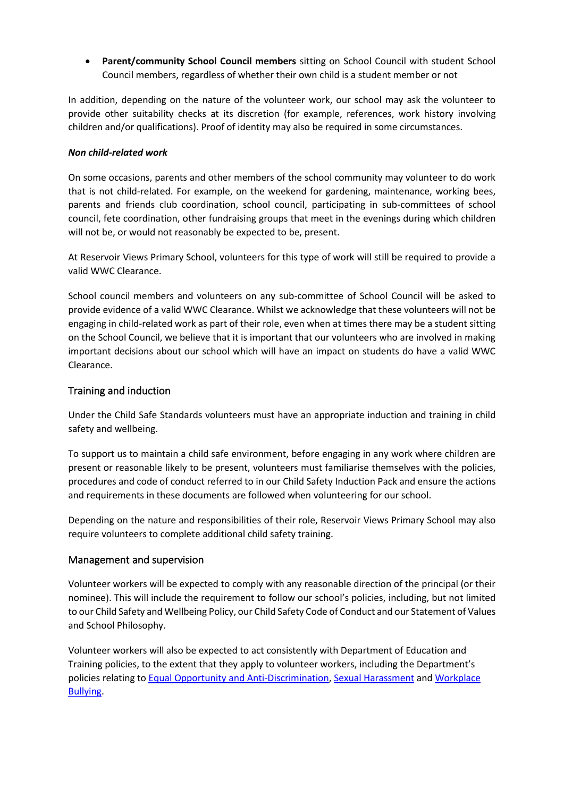• **Parent/community School Council members** sitting on School Council with student School Council members, regardless of whether their own child is a student member or not

In addition, depending on the nature of the volunteer work, our school may ask the volunteer to provide other suitability checks at its discretion (for example, references, work history involving children and/or qualifications). Proof of identity may also be required in some circumstances.

#### *Non child-related work*

On some occasions, parents and other members of the school community may volunteer to do work that is not child-related. For example, on the weekend for gardening, maintenance, working bees, parents and friends club coordination, school council, participating in sub-committees of school council, fete coordination, other fundraising groups that meet in the evenings during which children will not be, or would not reasonably be expected to be, present.

At Reservoir Views Primary School, volunteers for this type of work will still be required to provide a valid WWC Clearance.

School council members and volunteers on any sub-committee of School Council will be asked to provide evidence of a valid WWC Clearance. Whilst we acknowledge that these volunteers will not be engaging in child-related work as part of their role, even when at times there may be a student sitting on the School Council, we believe that it is important that our volunteers who are involved in making important decisions about our school which will have an impact on students do have a valid WWC Clearance.

## Training and induction

Under the Child Safe Standards volunteers must have an appropriate induction and training in child safety and wellbeing.

To support us to maintain a child safe environment, before engaging in any work where children are present or reasonable likely to be present, volunteers must familiarise themselves with the policies, procedures and code of conduct referred to in our Child Safety Induction Pack and ensure the actions and requirements in these documents are followed when volunteering for our school.

Depending on the nature and responsibilities of their role, Reservoir Views Primary School may also require volunteers to complete additional child safety training.

### Management and supervision

Volunteer workers will be expected to comply with any reasonable direction of the principal (or their nominee). This will include the requirement to follow our school's policies, including, but not limited to our Child Safety and Wellbeing Policy, our Child Safety Code of Conduct and our Statement of Values and School Philosophy.

Volunteer workers will also be expected to act consistently with Department of Education and Training policies, to the extent that they apply to volunteer workers, including the Department's policies relating to [Equal Opportunity and Anti-Discrimination,](https://www2.education.vic.gov.au/pal/equal-opportunity/policy-and-guidelines) [Sexual Harassment](https://www2.education.vic.gov.au/pal/sexual-harassment/overview) and [Workplace](https://www2.education.vic.gov.au/pal/workplace-bullying/policy)  [Bullying.](https://www2.education.vic.gov.au/pal/workplace-bullying/policy)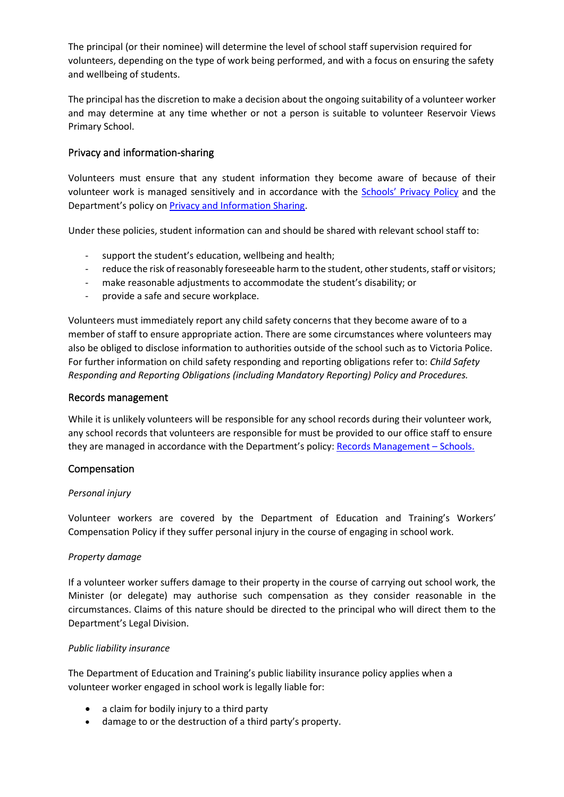The principal (or their nominee) will determine the level of school staff supervision required for volunteers, depending on the type of work being performed, and with a focus on ensuring the safety and wellbeing of students.

The principal has the discretion to make a decision about the ongoing suitability of a volunteer worker and may determine at any time whether or not a person is suitable to volunteer Reservoir Views Primary School.

## Privacy and information-sharing

Volunteers must ensure that any student information they become aware of because of their volunteer work is managed sensitively and in accordance with the Schools' [Privacy Policy](https://www.education.vic.gov.au/Pages/schoolsprivacypolicy.aspx) and the Department's policy on [Privacy and Information Sharing.](https://www2.education.vic.gov.au/pal/privacy-information-sharing/policy)

Under these policies, student information can and should be shared with relevant school staff to:

- support the student's education, wellbeing and health;
- reduce the risk of reasonably foreseeable harm to the student, other students, staff or visitors;
- make reasonable adjustments to accommodate the student's disability; or
- provide a safe and secure workplace.

Volunteers must immediately report any child safety concerns that they become aware of to a member of staff to ensure appropriate action. There are some circumstances where volunteers may also be obliged to disclose information to authorities outside of the school such as to Victoria Police. For further information on child safety responding and reporting obligations refer to: *Child Safety Responding and Reporting Obligations (including Mandatory Reporting) Policy and Procedures.* 

#### Records management

While it is unlikely volunteers will be responsible for any school records during their volunteer work, any school records that volunteers are responsible for must be provided to our office staff to ensure they are managed in accordance with the Department's policy: [Records Management](https://www2.education.vic.gov.au/pal/records-management/policy) – Schools.

#### Compensation

#### *Personal injury*

Volunteer workers are covered by the Department of Education and Training's Workers' Compensation Policy if they suffer personal injury in the course of engaging in school work.

#### *Property damage*

If a volunteer worker suffers damage to their property in the course of carrying out school work, the Minister (or delegate) may authorise such compensation as they consider reasonable in the circumstances. Claims of this nature should be directed to the principal who will direct them to the Department's Legal Division.

#### *Public liability insurance*

The Department of Education and Training's public liability insurance policy applies when a volunteer worker engaged in school work is legally liable for:

- a claim for bodily injury to a third party
- damage to or the destruction of a third party's property.